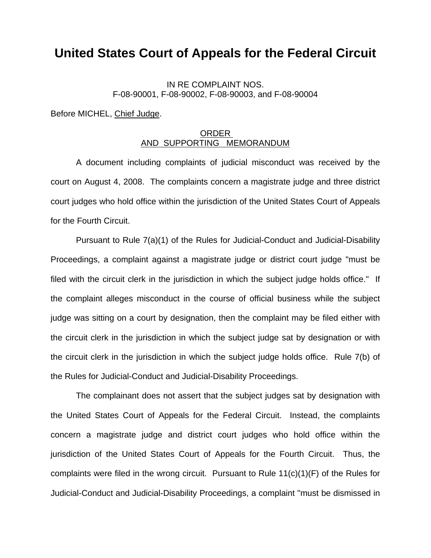## **United States Court of Appeals for the Federal Circuit**

## IN RE COMPLAINT NOS. F-08-90001, F-08-90002, F-08-90003, and F-08-90004

Before MICHEL, Chief Judge.

## ORDER AND SUPPORTING MEMORANDUM

 A document including complaints of judicial misconduct was received by the court on August 4, 2008. The complaints concern a magistrate judge and three district court judges who hold office within the jurisdiction of the United States Court of Appeals for the Fourth Circuit.

 Pursuant to Rule 7(a)(1) of the Rules for Judicial-Conduct and Judicial-Disability Proceedings, a complaint against a magistrate judge or district court judge "must be filed with the circuit clerk in the jurisdiction in which the subject judge holds office." If the complaint alleges misconduct in the course of official business while the subject judge was sitting on a court by designation, then the complaint may be filed either with the circuit clerk in the jurisdiction in which the subject judge sat by designation or with the circuit clerk in the jurisdiction in which the subject judge holds office. Rule 7(b) of the Rules for Judicial-Conduct and Judicial-Disability Proceedings.

 The complainant does not assert that the subject judges sat by designation with the United States Court of Appeals for the Federal Circuit. Instead, the complaints concern a magistrate judge and district court judges who hold office within the jurisdiction of the United States Court of Appeals for the Fourth Circuit. Thus, the complaints were filed in the wrong circuit. Pursuant to Rule 11(c)(1)(F) of the Rules for Judicial-Conduct and Judicial-Disability Proceedings, a complaint "must be dismissed in